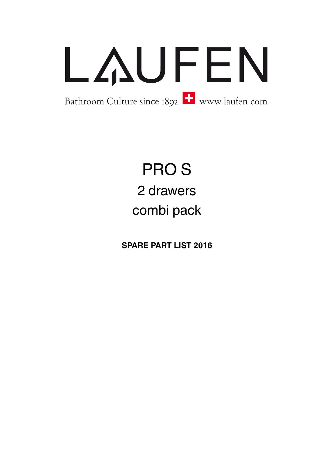

## PRO S 2 drawers combi pack

**SPARE PART LIST 2016**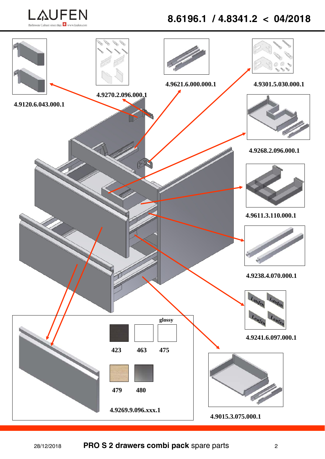

## **8.6196.1 / 4.8341.2 < 04/2018**

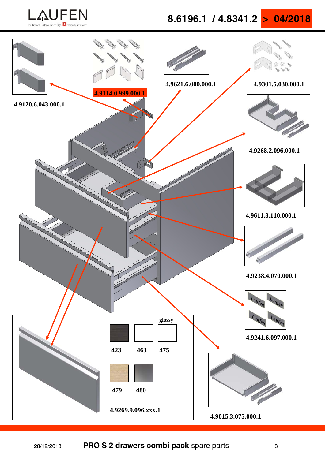

**8.6196.1 / 4.8341.2 > 04/2018** 

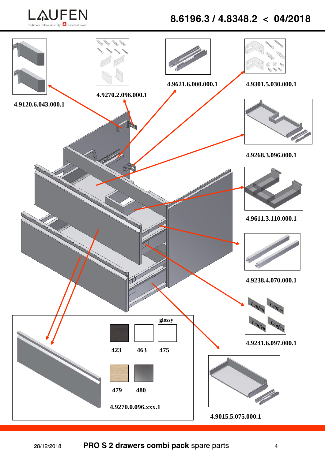

## **8.6196.3 / 4.8348.2 < 04/2018**

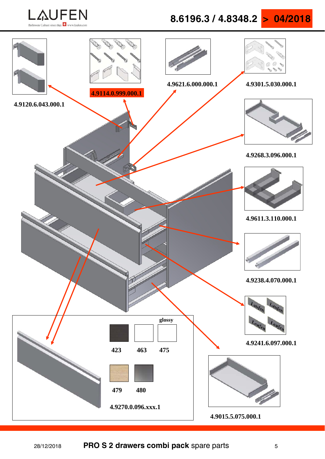**LAUFEN** 

**8.6196.3 / 4.8348.2 > 04/2018** 

**4.9120.6.043.000.1 4.9301.5.030.000.1 4.9015.5.075.000.1 4.9268.3.096.000.1 4.9238.4.070.000.1 4.9241.6.097.000.1 4.9270.0.096.xxx.1 479 glossy 423 463 480 4.9621.6.000.000.1 4.9611.3.110.000.1 475 4.9114.0.999.000.1**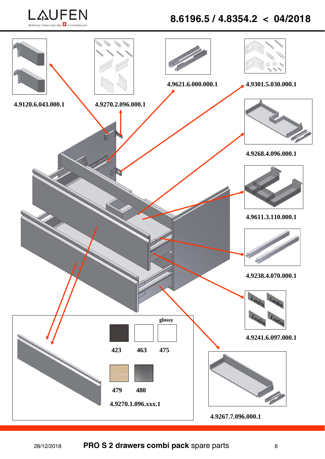

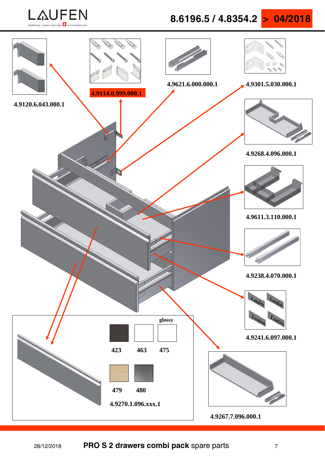**LAUFEN** 

**8.6196.5 / 4.8354.2 > 04/2018** 

**4.9120.6.043.000.1 4.9301.5.030.000.1 4.9267.7.096.000.1 4.9268.4.096.000.1 4.9238.4.070.000.1 4.9241.6.097.000.1 4.9270.1.096.xxx.1 479 glossy 423 463 480 4.9621.6.000.000.1 4.9611.3.110.000.1 475 4.9114.0.999.000.1**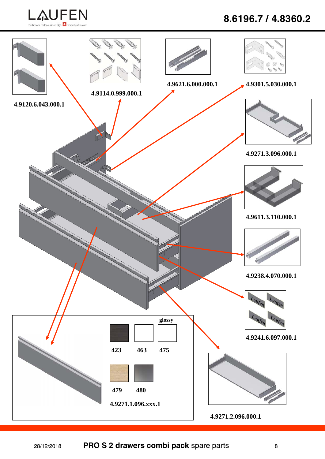